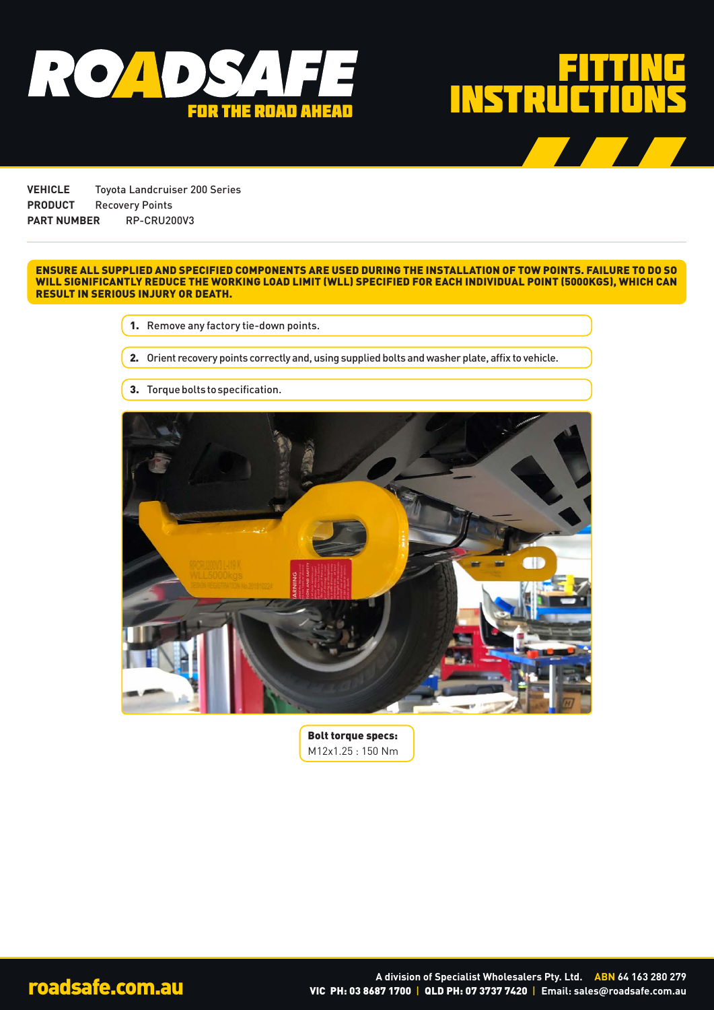



**VEHICLE** Toyota Landcruiser 200 Series **PRODUCT** Recovery Points **PART NUMBER** RP-CRU200V3

## ENSURE ALL SUPPLIED AND SPECIFIED COMPONENTS ARE USED DURING THE INSTALLATION OF TOW POINTS. FAILURE TO DO SO WILL SIGNIFICANTLY REDUCE THE WORKING LOAD LIMIT (WLL) SPECIFIED FOR EACH INDIVIDUAL POINT (5000KGS), WHICH CAN RESULT IN SERIOUS INJURY OR DEATH.

1. Remove any factory tie-down points.

2. Orient recovery points correctly and, using supplied bolts and washer plate, affix to vehicle.

3. Torque bolts to specification.



Bolt torque specs: M12x1.25 : 150 Nm